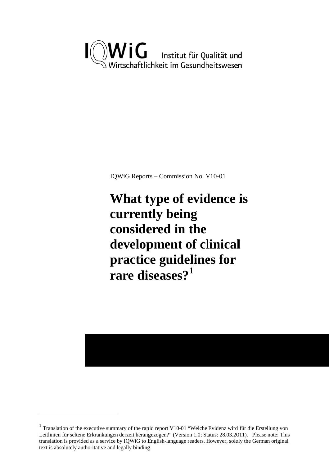

IQWiG Reports - Commission No. V10-01

What type of evidence is currently being considered in the development of clinical practice guidelines for rare diseases? $1$ 

 $1$  Translation of the executive summary of the rapid report V10-01 "Welche Evidenz wird für die Erstellung von Leitlinien für seltene Erkrankungen derzeit herangezogen?" (Version 1.0; Status: 28.03.2011). Please note: This translation is provided as a service by IQWiG to English-language readers. However, solely the German original text is absolutely authoritative and legally binding.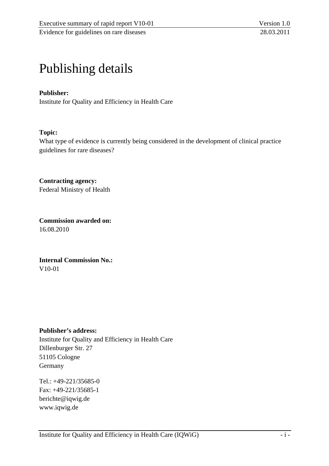# Publishing details

### **Publisher:**

Institute for Quality and Efficiency in Health Care

#### **Topic:**

What type of evidence is currently being considered in the development of clinical practice guidelines for rare diseases?

**Contracting agency:**  Federal Ministry of Health

**Commission awarded on:**  16.08.2010

**Internal Commission No.:**  V10-01

#### **Publisher's address:**

Institute for Quality and Efficiency in Health Care Dillenburger Str. 27 51105 Cologne Germany

Tel.: +49-221/35685-0 Fax: +49-221/35685-1 berichte@iqwig.de www.iqwig.de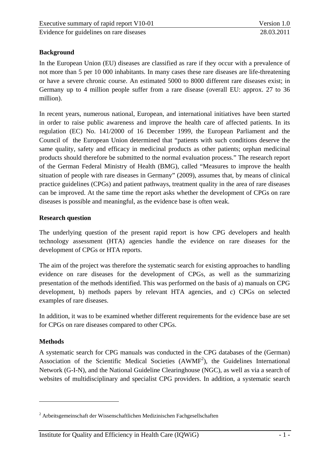## **Background**

In the European Union (EU) diseases are classified as rare if they occur with a prevalence of not more than 5 per 10 000 inhabitants. In many cases these rare diseases are life-threatening or have a severe chronic course. An estimated 5000 to 8000 different rare diseases exist; in Germany up to 4 million people suffer from a rare disease (overall EU: approx. 27 to 36 million).

In recent years, numerous national, European, and international initiatives have been started in order to raise public awareness and improve the health care of affected patients. In its regulation (EC) No. 141/2000 of 16 December 1999, the European Parliament and the Council of the European Union determined that "patients with such conditions deserve the same quality, safety and efficacy in medicinal products as other patients; orphan medicinal products should therefore be submitted to the normal evaluation process." The research report of the German Federal Ministry of Health (BMG), called "Measures to improve the health situation of people with rare diseases in Germany" (2009), assumes that, by means of clinical practice guidelines (CPGs) and patient pathways, treatment quality in the area of rare diseases can be improved. At the same time the report asks whether the development of CPGs on rare diseases is possible and meaningful, as the evidence base is often weak.

### **Research question**

The underlying question of the present rapid report is how CPG developers and health technology assessment (HTA) agencies handle the evidence on rare diseases for the development of CPGs or HTA reports.

The aim of the project was therefore the systematic search for existing approaches to handling evidence on rare diseases for the development of CPGs, as well as the summarizing presentation of the methods identified. This was performed on the basis of a) manuals on CPG development, b) methods papers by relevant HTA agencies, and c) CPGs on selected examples of rare diseases.

In addition, it was to be examined whether different requirements for the evidence base are set for CPGs on rare diseases compared to other CPGs.

#### **Methods**

 $\overline{a}$ 

A systematic search for CPG manuals was conducted in the CPG databases of the (German) Association of the Scientific Medical Societies  $(AWMF^2)$ , the Guidelines International Network (G-I-N), and the National Guideline Clearinghouse (NGC), as well as via a search of websites of multidisciplinary and specialist CPG providers. In addition, a systematic search

<sup>&</sup>lt;sup>2</sup> Arbeitsgemeinschaft der Wissenschaftlichen Medizinischen Fachgesellschaften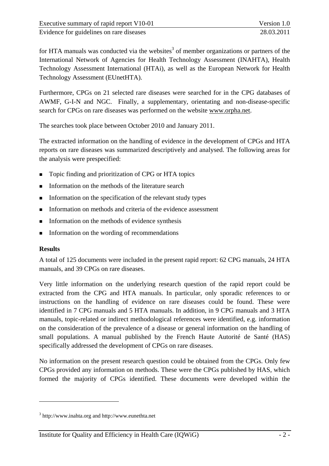for HTA manuals was conducted via the websites<sup>3</sup> of member organizations or partners of the International Network of Agencies for Health Technology Assessment (INAHTA), Health Technology Assessment International (HTAi), as well as the European Network for Health Technology Assessment (EUnetHTA).

Furthermore, CPGs on 21 selected rare diseases were searched for in the CPG databases of AWMF, G-I-N and NGC. Finally, a supplementary, orientating and non-disease-specific search for CPGs on rare diseases was performed on the website www.orpha.net.

The searches took place between October 2010 and January 2011.

The extracted information on the handling of evidence in the development of CPGs and HTA reports on rare diseases was summarized descriptively and analysed. The following areas for the analysis were prespecified:

- Topic finding and prioritization of CPG or HTA topics
- Information on the methods of the literature search
- **Information on the specification of the relevant study types**
- Information on methods and criteria of the evidence assessment
- $\blacksquare$  Information on the methods of evidence synthesis
- **Information on the wording of recommendations**

## **Results**

 $\overline{a}$ 

A total of 125 documents were included in the present rapid report: 62 CPG manuals, 24 HTA manuals, and 39 CPGs on rare diseases.

Very little information on the underlying research question of the rapid report could be extracted from the CPG and HTA manuals. In particular, only sporadic references to or instructions on the handling of evidence on rare diseases could be found. These were identified in 7 CPG manuals and 5 HTA manuals. In addition, in 9 CPG manuals and 3 HTA manuals, topic-related or indirect methodological references were identified, e.g. information on the consideration of the prevalence of a disease or general information on the handling of small populations. A manual published by the French Haute Autorité de Santé (HAS) specifically addressed the development of CPGs on rare diseases.

No information on the present research question could be obtained from the CPGs. Only few CPGs provided any information on methods. These were the CPGs published by HAS, which formed the majority of CPGs identified. These documents were developed within the

<sup>&</sup>lt;sup>3</sup> http://www.inahta.org and http://www.eunethta.net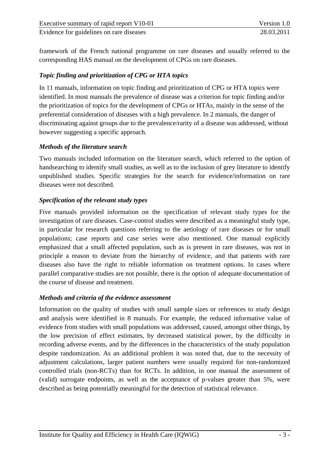framework of the French national programme on rare diseases and usually referred to the corresponding HAS manual on the development of CPGs on rare diseases.

## *Topic finding and prioritization of CPG or HTA topics*

In 11 manuals, information on topic finding and prioritization of CPG or HTA topics were identified. In most manuals the prevalence of disease was a criterion for topic finding and/or the prioritization of topics for the development of CPGs or HTAs, mainly in the sense of the preferential consideration of diseases with a high prevalence. In 2 manuals, the danger of discriminating against groups due to the prevalence/rarity of a disease was addressed, without however suggesting a specific approach.

## *Methods of the literature search*

Two manuals included information on the literature search, which referred to the option of handsearching to identify small studies, as well as to the inclusion of grey literature to identify unpublished studies. Specific strategies for the search for evidence/information on rare diseases were not described.

## *Specification of the relevant study types*

Five manuals provided information on the specification of relevant study types for the investigation of rare diseases. Case-control studies were described as a meaningful study type, in particular for research questions referring to the aetiology of rare diseases or for small populations; case reports and case series were also mentioned. One manual explicitly emphasized that a small affected population, such as is present in rare diseases, was not in principle a reason to deviate from the hierarchy of evidence, and that patients with rare diseases also have the right to reliable information on treatment options. In cases where parallel comparative studies are not possible, there is the option of adequate documentation of the course of disease and treatment.

## *Methods and criteria of the evidence assessment*

Information on the quality of studies with small sample sizes or references to study design and analysis were identified in 8 manuals. For example, the reduced informative value of evidence from studies with small populations was addressed, caused, amongst other things, by the low precision of effect estimates, by decreased statistical power, by the difficulty in recording adverse events, and by the differences in the characteristics of the study population despite randomization. As an additional problem it was noted that, due to the necessity of adjustment calculations, larger patient numbers were usually required for non-randomized controlled trials (non-RCTs) than for RCTs. In addition, in one manual the assessment of (valid) surrogate endpoints, as well as the acceptance of p-values greater than 5%, were described as being potentially meaningful for the detection of statistical relevance.